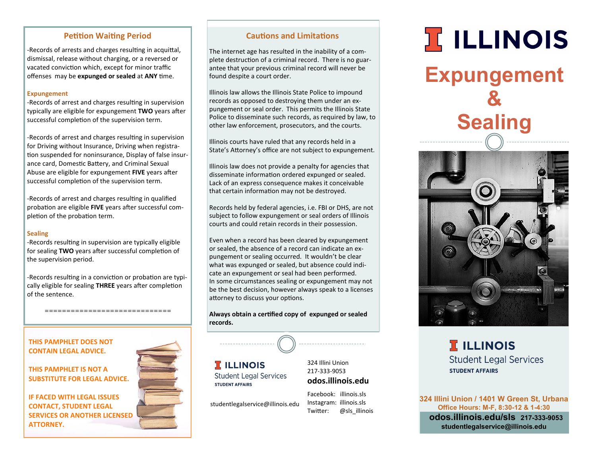# **Petition Waiting Period**

-Records of arrests and charges resulting in acquittal, dismissal, release without charging, or a reversed or vacated conviction which, except for minor traffic offenses may be **expunged or sealed** at **ANY** time.

#### **Expungement**

-Records of arrest and charges resulting in supervision typically are eligible for expungement **TWO** years after successful completion of the supervision term.

-Records of arrest and charges resulting in supervision for Driving without Insurance, Driving when registration suspended for noninsurance, Display of false insurance card, Domestic Battery, and Criminal Sexual Abuse are eligible for expungement **FIVE** years after successful completion of the supervision term.

-Records of arrest and charges resulting in qualified probation are eligible **FIVE** years after successful completion of the probation term.

#### **Sealing**

-Records resulting in supervision are typically eligible for sealing **TWO** years after successful completion of the supervision period.

-Records resulting in a conviction or probation are typically eligible for sealing **THREE** years after completion of the sentence.

=============================

**THIS PAMPHLET DOES NOT CONTAIN LEGAL ADVICE.**

**THIS PAMPHLET IS NOT A SUBSTITUTE FOR LEGAL ADVICE.** 

**IF FACED WITH LEGAL ISSUES CONTACT, STUDENT LEGAL SERVICES OR ANOTHER LICENSED ATTORNEY.**



### **Cautions and Limitations**

The internet age has resulted in the inability of a complete destruction of a criminal record. There is no guarantee that your previous criminal record will never be found despite a court order.

Illinois law allows the Illinois State Police to impound records as opposed to destroying them under an expungement or seal order. This permits the Illinois State Police to disseminate such records, as required by law, to other law enforcement, prosecutors, and the courts.

Illinois courts have ruled that any records held in a State's Attorney's office are not subject to expungement.

Illinois law does not provide a penalty for agencies that disseminate information ordered expunged or sealed. Lack of an express consequence makes it conceivable that certain information may not be destroyed.

Records held by federal agencies, i.e. FBI or DHS, are not subject to follow expungement or seal orders of Illinois courts and could retain records in their possession.

Even when a record has been cleared by expungement or sealed, the absence of a record can indicate an expungement or sealing occurred. It wouldn't be clear what was expunged or sealed, but absence could indicate an expungement or seal had been performed. In some circumstances sealing or expungement may not be the best decision, however always speak to a licenses attorney to discuss your options.

**Always obtain a certified copy of expunged or sealed records.**

**T** ILLINOIS **Student Legal Services STUDENT AFFAIRS** 

studentlegalservice@illinois.edu

**odos.illinois.edu** Facebook: illinois.sls Instagram: illinois.sls

Twitter: @sls\_illinois

# **ILLINOIS**

**Expungement & Sealing**



**T** ILLINOIS **Student Legal Services STUDENT AFFAIRS** 

**324 Illini Union / 1401 W Green St, Urbana Office Hours: M-F, 8:30-12 & 1-4:30 odos.illinois.edu/sls 217-333-9053 studentlegalservice@illinois.edu**

324 Illini Union 217-333-9053